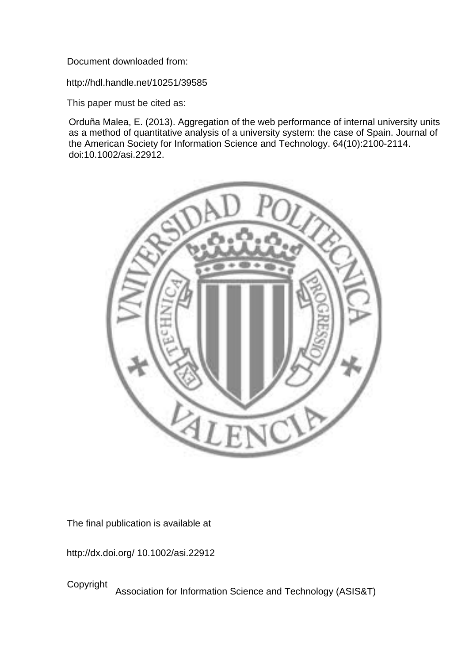Document downloaded from:

http://hdl.handle.net/10251/39585

This paper must be cited as:

Orduña Malea, E. (2013). Aggregation of the web performance of internal university units as a method of quantitative analysis of a university system: the case of Spain. Journal of the American Society for Information Science and Technology. 64(10):2100-2114. doi:10.1002/asi.22912.



The final publication is available at

http://dx.doi.org/ 10.1002/asi.22912

Copyright Association for Information Science and Technology (ASIS&T)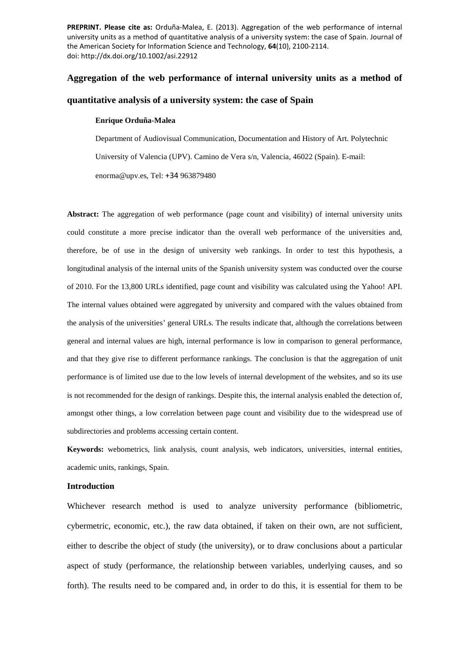# **Aggregation of the web performance of internal university units as a method of quantitative analysis of a university system: the case of Spain**

#### **Enrique Orduña-Malea**

Department of Audiovisual Communication, Documentation and History of Art. Polytechnic University of Valencia (UPV). Camino de Vera s/n, Valencia, 46022 (Spain). E-mail: enorma@upv.es, Tel: +34 963879480

**Abstract:** The aggregation of web performance (page count and visibility) of internal university units could constitute a more precise indicator than the overall web performance of the universities and, therefore, be of use in the design of university web rankings. In order to test this hypothesis, a longitudinal analysis of the internal units of the Spanish university system was conducted over the course of 2010. For the 13,800 URLs identified, page count and visibility was calculated using the Yahoo! API. The internal values obtained were aggregated by university and compared with the values obtained from the analysis of the universities' general URLs. The results indicate that, although the correlations between general and internal values are high, internal performance is low in comparison to general performance, and that they give rise to different performance rankings. The conclusion is that the aggregation of unit performance is of limited use due to the low levels of internal development of the websites, and so its use is not recommended for the design of rankings. Despite this, the internal analysis enabled the detection of, amongst other things, a low correlation between page count and visibility due to the widespread use of subdirectories and problems accessing certain content.

**Keywords:** webometrics, link analysis, count analysis, web indicators, universities, internal entities, academic units, rankings, Spain.

# **Introduction**

Whichever research method is used to analyze university performance (bibliometric, cybermetric, economic, etc.), the raw data obtained, if taken on their own, are not sufficient, either to describe the object of study (the university), or to draw conclusions about a particular aspect of study (performance, the relationship between variables, underlying causes, and so forth). The results need to be compared and, in order to do this, it is essential for them to be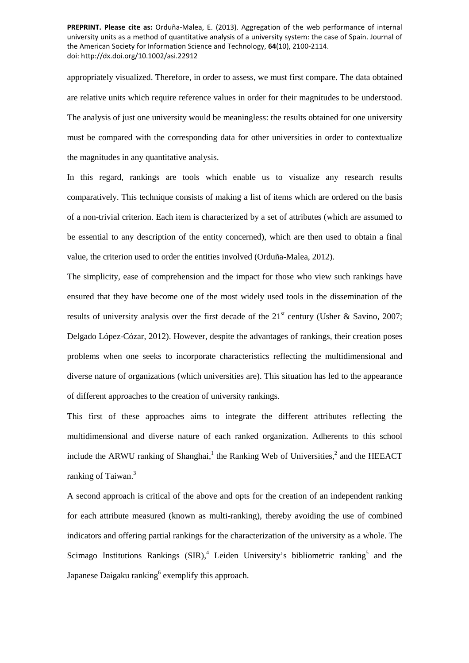appropriately visualized. Therefore, in order to assess, we must first compare. The data obtained are relative units which require reference values in order for their magnitudes to be understood. The analysis of just one university would be meaningless: the results obtained for one university must be compared with the corresponding data for other universities in order to contextualize the magnitudes in any quantitative analysis.

In this regard, rankings are tools which enable us to visualize any research results comparatively. This technique consists of making a list of items which are ordered on the basis of a non-trivial criterion. Each item is characterized by a set of attributes (which are assumed to be essential to any description of the entity concerned), which are then used to obtain a final value, the criterion used to order the entities involved (Orduña-Malea, 2012).

The simplicity, ease of comprehension and the impact for those who view such rankings have ensured that they have become one of the most widely used tools in the dissemination of the results of university analysis over the first decade of the  $21<sup>st</sup>$  century (Usher & Savino, 2007; Delgado López-Cózar, 2012). However, despite the advantages of rankings, their creation poses problems when one seeks to incorporate characteristics reflecting the multidimensional and diverse nature of organizations (which universities are). This situation has led to the appearance of different approaches to the creation of university rankings.

This first of these approaches aims to integrate the different attributes reflecting the multidimensional and diverse nature of each ranked organization. Adherents to this school include the ARWU ranking of Shanghai,<sup>1</sup> the Ranking Web of Universities,<sup>2</sup> and the HEEACT ranking of Taiwan.<sup>3</sup>

A second approach is critical of the above and opts for the creation of an independent ranking for each attribute measured (known as multi-ranking), thereby avoiding the use of combined indicators and offering partial rankings for the characterization of the university as a whole. The Scimago Institutions Rankings  $(SIR)^4$  Leiden University's bibliometric ranking<sup>5</sup> and the Japanese Daigaku ranking<sup>6</sup> exemplify this approach.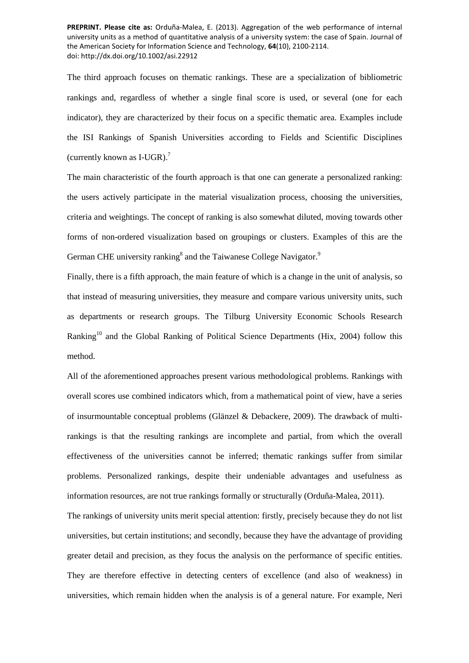The third approach focuses on thematic rankings. These are a specialization of bibliometric rankings and, regardless of whether a single final score is used, or several (one for each indicator), they are characterized by their focus on a specific thematic area. Examples include the ISI Rankings of Spanish Universities according to Fields and Scientific Disciplines (currently known as I-UGR). $^7$ 

The main characteristic of the fourth approach is that one can generate a personalized ranking: the users actively participate in the material visualization process, choosing the universities, criteria and weightings. The concept of ranking is also somewhat diluted, moving towards other forms of non-ordered visualization based on groupings or clusters. Examples of this are the German CHE university ranking<sup>8</sup> and the Taiwanese College Navigator.<sup>9</sup>

Finally, there is a fifth approach, the main feature of which is a change in the unit of analysis, so that instead of measuring universities, they measure and compare various university units, such as departments or research groups. The Tilburg University Economic Schools Research Ranking<sup>10</sup> and the Global Ranking of Political Science Departments (Hix, 2004) follow this method.

All of the aforementioned approaches present various methodological problems. Rankings with overall scores use combined indicators which, from a mathematical point of view, have a series of insurmountable conceptual problems (Glänzel & Debackere, 2009). The drawback of multirankings is that the resulting rankings are incomplete and partial, from which the overall effectiveness of the universities cannot be inferred; thematic rankings suffer from similar problems. Personalized rankings, despite their undeniable advantages and usefulness as information resources, are not true rankings formally or structurally (Orduña-Malea, 2011).

The rankings of university units merit special attention: firstly, precisely because they do not list universities, but certain institutions; and secondly, because they have the advantage of providing greater detail and precision, as they focus the analysis on the performance of specific entities. They are therefore effective in detecting centers of excellence (and also of weakness) in universities, which remain hidden when the analysis is of a general nature. For example, Neri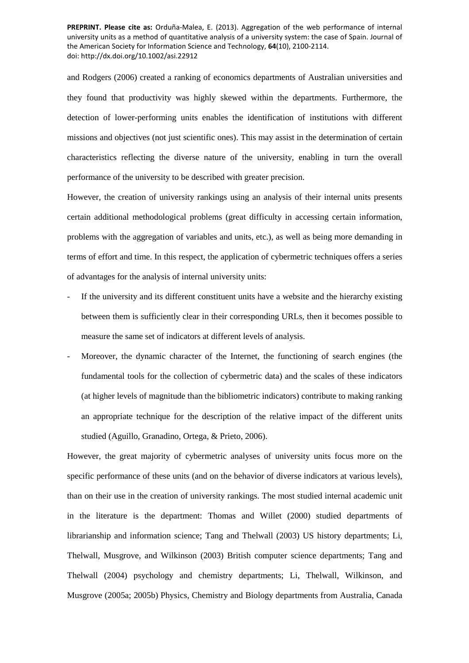and Rodgers (2006) created a ranking of economics departments of Australian universities and they found that productivity was highly skewed within the departments. Furthermore, the detection of lower-performing units enables the identification of institutions with different missions and objectives (not just scientific ones). This may assist in the determination of certain characteristics reflecting the diverse nature of the university, enabling in turn the overall performance of the university to be described with greater precision.

However, the creation of university rankings using an analysis of their internal units presents certain additional methodological problems (great difficulty in accessing certain information, problems with the aggregation of variables and units, etc.), as well as being more demanding in terms of effort and time. In this respect, the application of cybermetric techniques offers a series of advantages for the analysis of internal university units:

- If the university and its different constituent units have a website and the hierarchy existing between them is sufficiently clear in their corresponding URLs, then it becomes possible to measure the same set of indicators at different levels of analysis.
- Moreover, the dynamic character of the Internet, the functioning of search engines (the fundamental tools for the collection of cybermetric data) and the scales of these indicators (at higher levels of magnitude than the bibliometric indicators) contribute to making ranking an appropriate technique for the description of the relative impact of the different units studied (Aguillo, Granadino, Ortega, & Prieto, 2006).

However, the great majority of cybermetric analyses of university units focus more on the specific performance of these units (and on the behavior of diverse indicators at various levels), than on their use in the creation of university rankings. The most studied internal academic unit in the literature is the department: Thomas and Willet (2000) studied departments of librarianship and information science; Tang and Thelwall (2003) US history departments; Li, Thelwall, Musgrove, and Wilkinson (2003) British computer science departments; Tang and Thelwall (2004) psychology and chemistry departments; Li, Thelwall, Wilkinson, and Musgrove (2005a; 2005b) Physics, Chemistry and Biology departments from Australia, Canada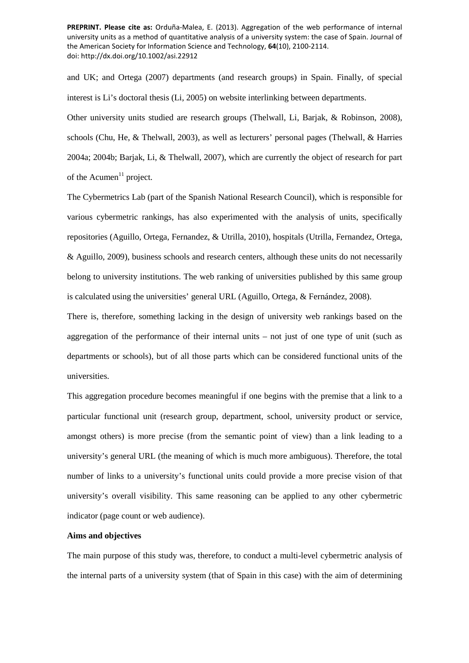and UK; and Ortega (2007) departments (and research groups) in Spain. Finally, of special interest is Li's doctoral thesis (Li, 2005) on website interlinking between departments.

Other university units studied are research groups (Thelwall, Li, Barjak, & Robinson, 2008), schools (Chu, He, & Thelwall, 2003), as well as lecturers' personal pages (Thelwall, & Harries 2004a; 2004b; Barjak, Li, & Thelwall, 2007), which are currently the object of research for part of the Acumen $11$  project.

The Cybermetrics Lab (part of the Spanish National Research Council), which is responsible for various cybermetric rankings, has also experimented with the analysis of units, specifically repositories (Aguillo, Ortega, Fernandez, & Utrilla, 2010), hospitals (Utrilla, Fernandez, Ortega,  $&$  Aguillo, 2009), business schools and research centers, although these units do not necessarily belong to university institutions. The web ranking of universities published by this same group is calculated using the universities' general URL (Aguillo, Ortega, & Fernández, 2008).

There is, therefore, something lacking in the design of university web rankings based on the aggregation of the performance of their internal units – not just of one type of unit (such as departments or schools), but of all those parts which can be considered functional units of the universities.

This aggregation procedure becomes meaningful if one begins with the premise that a link to a particular functional unit (research group, department, school, university product or service, amongst others) is more precise (from the semantic point of view) than a link leading to a university's general URL (the meaning of which is much more ambiguous). Therefore, the total number of links to a university's functional units could provide a more precise vision of that university's overall visibility. This same reasoning can be applied to any other cybermetric indicator (page count or web audience).

# **Aims and objectives**

The main purpose of this study was, therefore, to conduct a multi-level cybermetric analysis of the internal parts of a university system (that of Spain in this case) with the aim of determining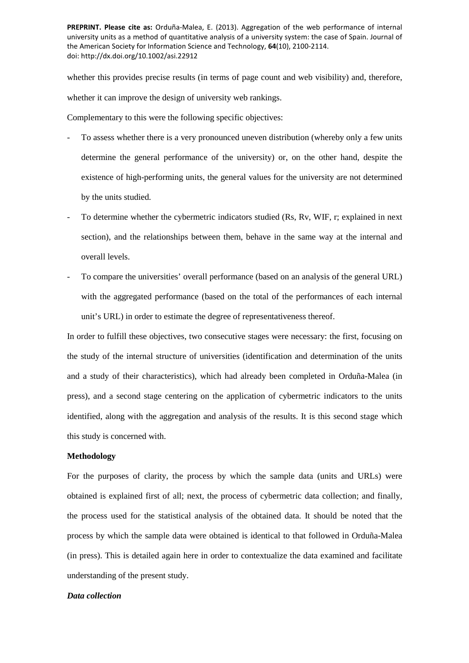whether this provides precise results (in terms of page count and web visibility) and, therefore, whether it can improve the design of university web rankings.

Complementary to this were the following specific objectives:

- To assess whether there is a very pronounced uneven distribution (whereby only a few units determine the general performance of the university) or, on the other hand, despite the existence of high-performing units, the general values for the university are not determined by the units studied.
- To determine whether the cybermetric indicators studied (Rs, Rv, WIF, r; explained in next section), and the relationships between them, behave in the same way at the internal and overall levels.
- To compare the universities' overall performance (based on an analysis of the general URL) with the aggregated performance (based on the total of the performances of each internal unit's URL) in order to estimate the degree of representativeness thereof.

In order to fulfill these objectives, two consecutive stages were necessary: the first, focusing on the study of the internal structure of universities (identification and determination of the units and a study of their characteristics), which had already been completed in Orduña-Malea (in press), and a second stage centering on the application of cybermetric indicators to the units identified, along with the aggregation and analysis of the results. It is this second stage which this study is concerned with.

# **Methodology**

For the purposes of clarity, the process by which the sample data (units and URLs) were obtained is explained first of all; next, the process of cybermetric data collection; and finally, the process used for the statistical analysis of the obtained data. It should be noted that the process by which the sample data were obtained is identical to that followed in Orduña-Malea (in press). This is detailed again here in order to contextualize the data examined and facilitate understanding of the present study.

#### *Data collection*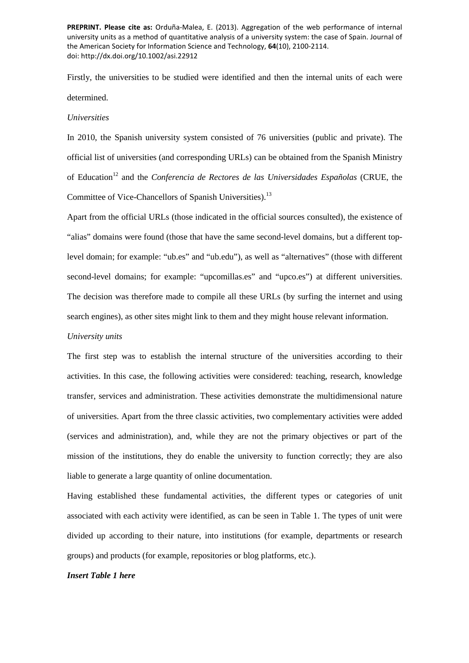Firstly, the universities to be studied were identified and then the internal units of each were determined.

#### *Universities*

In 2010, the Spanish university system consisted of 76 universities (public and private). The official list of universities (and corresponding URLs) can be obtained from the Spanish Ministry of Education<sup>12</sup> and the *Conferencia de Rectores de las Universidades Españolas* (CRUE, the Committee of Vice-Chancellors of Spanish Universities).<sup>13</sup>

Apart from the official URLs (those indicated in the official sources consulted), the existence of "alias" domains were found (those that have the same second-level domains, but a different toplevel domain; for example: "ub.es" and "ub.edu"), as well as "alternatives" (those with different second-level domains; for example: "upcomillas.es" and "upco.es") at different universities. The decision was therefore made to compile all these URLs (by surfing the internet and using search engines), as other sites might link to them and they might house relevant information.

# *University units*

The first step was to establish the internal structure of the universities according to their activities. In this case, the following activities were considered: teaching, research, knowledge transfer, services and administration. These activities demonstrate the multidimensional nature of universities. Apart from the three classic activities, two complementary activities were added (services and administration), and, while they are not the primary objectives or part of the mission of the institutions, they do enable the university to function correctly; they are also liable to generate a large quantity of online documentation.

Having established these fundamental activities, the different types or categories of unit associated with each activity were identified, as can be seen in Table 1. The types of unit were divided up according to their nature, into institutions (for example, departments or research groups) and products (for example, repositories or blog platforms, etc.).

#### *Insert Table 1 here*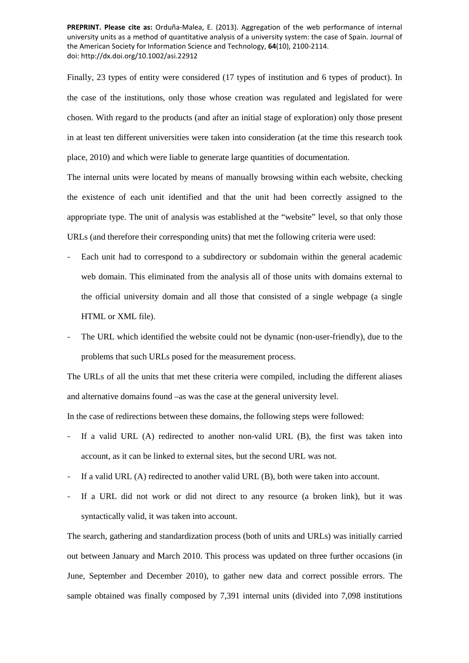Finally, 23 types of entity were considered (17 types of institution and 6 types of product). In the case of the institutions, only those whose creation was regulated and legislated for were chosen. With regard to the products (and after an initial stage of exploration) only those present in at least ten different universities were taken into consideration (at the time this research took place, 2010) and which were liable to generate large quantities of documentation.

The internal units were located by means of manually browsing within each website, checking the existence of each unit identified and that the unit had been correctly assigned to the appropriate type. The unit of analysis was established at the "website" level, so that only those URLs (and therefore their corresponding units) that met the following criteria were used:

- Each unit had to correspond to a subdirectory or subdomain within the general academic web domain. This eliminated from the analysis all of those units with domains external to the official university domain and all those that consisted of a single webpage (a single HTML or XML file).
- The URL which identified the website could not be dynamic (non-user-friendly), due to the problems that such URLs posed for the measurement process.

The URLs of all the units that met these criteria were compiled, including the different aliases and alternative domains found –as was the case at the general university level.

In the case of redirections between these domains, the following steps were followed:

- If a valid URL (A) redirected to another non-valid URL (B), the first was taken into account, as it can be linked to external sites, but the second URL was not.
- If a valid URL  $(A)$  redirected to another valid URL  $(B)$ , both were taken into account.
- If a URL did not work or did not direct to any resource (a broken link), but it was syntactically valid, it was taken into account.

The search, gathering and standardization process (both of units and URLs) was initially carried out between January and March 2010. This process was updated on three further occasions (in June, September and December 2010), to gather new data and correct possible errors. The sample obtained was finally composed by 7,391 internal units (divided into 7,098 institutions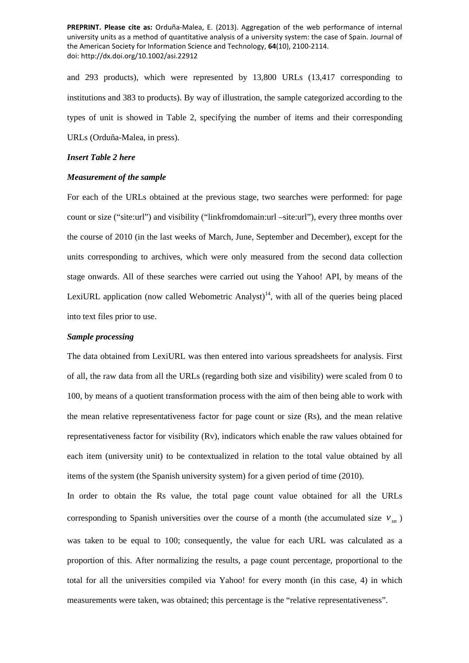and 293 products), which were represented by 13,800 URLs (13,417 corresponding to institutions and 383 to products). By way of illustration, the sample categorized according to the types of unit is showed in Table 2, specifying the number of items and their corresponding URLs (Orduña-Malea, in press).

#### *Insert Table 2 here*

# *Measurement of the sample*

For each of the URLs obtained at the previous stage, two searches were performed: for page count or size ("site:url") and visibility ("linkfromdomain:url –site:url"), every three months over the course of 2010 (in the last weeks of March, June, September and December), except for the units corresponding to archives, which were only measured from the second data collection stage onwards. All of these searches were carried out using the Yahoo! API, by means of the LexiURL application (now called Webometric Analyst)<sup>14</sup>, with all of the queries being placed into text files prior to use.

# *Sample processing*

The data obtained from LexiURL was then entered into various spreadsheets for analysis. First of all, the raw data from all the URLs (regarding both size and visibility) were scaled from 0 to 100, by means of a quotient transformation process with the aim of then being able to work with the mean relative representativeness factor for page count or size (Rs), and the mean relative representativeness factor for visibility (Rv), indicators which enable the raw values obtained for each item (university unit) to be contextualized in relation to the total value obtained by all items of the system (the Spanish university system) for a given period of time (2010).

In order to obtain the Rs value, the total page count value obtained for all the URLs corresponding to Spanish universities over the course of a month (the accumulated size  $v_{sn}$ ) was taken to be equal to 100; consequently, the value for each URL was calculated as a proportion of this. After normalizing the results, a page count percentage, proportional to the total for all the universities compiled via Yahoo! for every month (in this case, 4) in which measurements were taken, was obtained; this percentage is the "relative representativeness".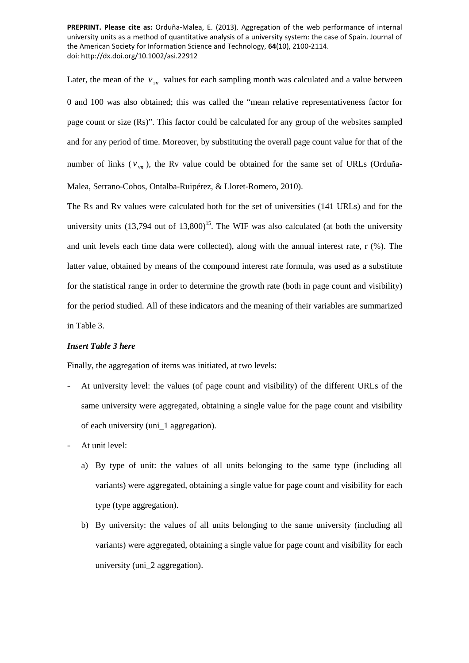Later, the mean of the  $v_{sn}$  values for each sampling month was calculated and a value between 0 and 100 was also obtained; this was called the "mean relative representativeness factor for page count or size (Rs)". This factor could be calculated for any group of the websites sampled and for any period of time. Moreover, by substituting the overall page count value for that of the number of links  $(v_{v_n})$ , the Rv value could be obtained for the same set of URLs (Orduña-Malea, Serrano-Cobos, Ontalba-Ruipérez, & Lloret-Romero, 2010).

The Rs and Rv values were calculated both for the set of universities (141 URLs) and for the university units  $(13,794$  out of  $13,800)$ <sup>15</sup>. The WIF was also calculated (at both the university and unit levels each time data were collected), along with the annual interest rate, r (%). The latter value, obtained by means of the compound interest rate formula, was used as a substitute for the statistical range in order to determine the growth rate (both in page count and visibility) for the period studied. All of these indicators and the meaning of their variables are summarized in Table 3.

# *Insert Table 3 here*

Finally, the aggregation of items was initiated, at two levels:

- At university level: the values (of page count and visibility) of the different URLs of the same university were aggregated, obtaining a single value for the page count and visibility of each university (uni\_1 aggregation).
- At unit level:
	- a) By type of unit: the values of all units belonging to the same type (including all variants) were aggregated, obtaining a single value for page count and visibility for each type (type aggregation).
	- b) By university: the values of all units belonging to the same university (including all variants) were aggregated, obtaining a single value for page count and visibility for each university (uni\_2 aggregation).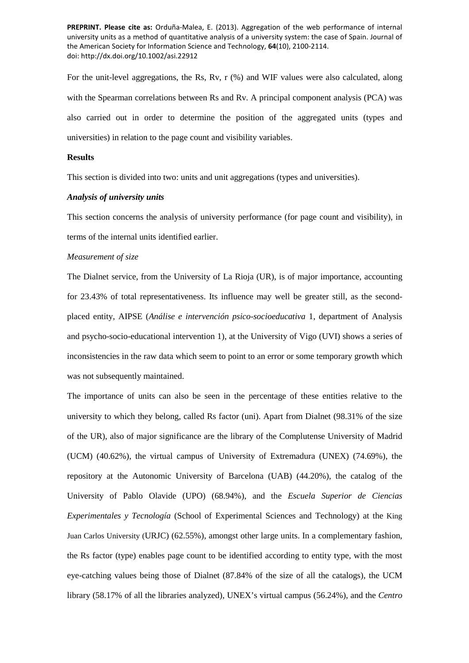For the unit-level aggregations, the Rs, Rv, r (%) and WIF values were also calculated, along with the Spearman correlations between Rs and Rv. A principal component analysis (PCA) was also carried out in order to determine the position of the aggregated units (types and universities) in relation to the page count and visibility variables.

#### **Results**

This section is divided into two: units and unit aggregations (types and universities).

# *Analysis of university units*

This section concerns the analysis of university performance (for page count and visibility), in terms of the internal units identified earlier.

# *Measurement of size*

The Dialnet service, from the University of La Rioja (UR), is of major importance, accounting for 23.43% of total representativeness. Its influence may well be greater still, as the secondplaced entity, AIPSE (*Análise e intervención psico-socioeducativa* 1, department of Analysis and psycho-socio-educational intervention 1), at the University of Vigo (UVI) shows a series of inconsistencies in the raw data which seem to point to an error or some temporary growth which was not subsequently maintained.

The importance of units can also be seen in the percentage of these entities relative to the university to which they belong, called Rs factor (uni). Apart from Dialnet (98.31% of the size of the UR), also of major significance are the library of the Complutense University of Madrid (UCM) (40.62%), the virtual campus of University of Extremadura (UNEX) (74.69%), the repository at the Autonomic University of Barcelona (UAB) (44.20%), the catalog of the University of Pablo Olavide (UPO) (68.94%), and the *Escuela Superior de Ciencias Experimentales y Tecnología* (School of Experimental Sciences and Technology) at the King Juan Carlos University (URJC) (62.55%), amongst other large units. In a complementary fashion, the Rs factor (type) enables page count to be identified according to entity type, with the most eye-catching values being those of Dialnet (87.84% of the size of all the catalogs), the UCM library (58.17% of all the libraries analyzed), UNEX's virtual campus (56.24%), and the *Centro*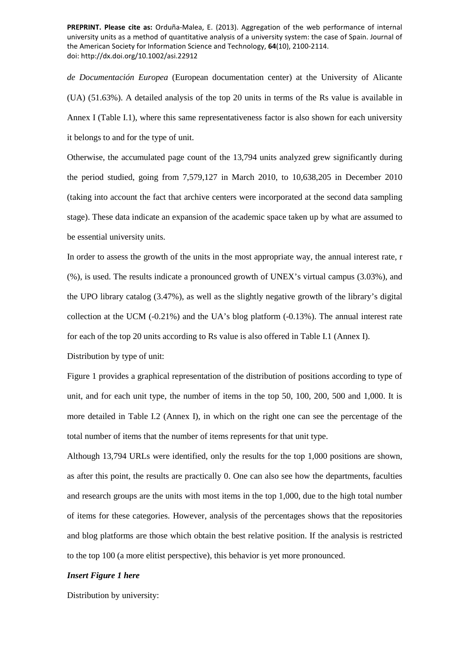*de Documentación Europea* (European documentation center) at the University of Alicante (UA) (51.63%). A detailed analysis of the top 20 units in terms of the Rs value is available in Annex I (Table I.1), where this same representativeness factor is also shown for each university it belongs to and for the type of unit.

Otherwise, the accumulated page count of the 13,794 units analyzed grew significantly during the period studied, going from 7,579,127 in March 2010, to 10,638,205 in December 2010 (taking into account the fact that archive centers were incorporated at the second data sampling stage). These data indicate an expansion of the academic space taken up by what are assumed to be essential university units.

In order to assess the growth of the units in the most appropriate way, the annual interest rate, r (%), is used. The results indicate a pronounced growth of UNEX's virtual campus (3.03%), and the UPO library catalog (3.47%), as well as the slightly negative growth of the library's digital collection at the UCM (-0.21%) and the UA's blog platform (-0.13%). The annual interest rate for each of the top 20 units according to Rs value is also offered in Table I.1 (Annex I).

Distribution by type of unit:

Figure 1 provides a graphical representation of the distribution of positions according to type of unit, and for each unit type, the number of items in the top 50, 100, 200, 500 and 1,000. It is more detailed in Table I.2 (Annex I), in which on the right one can see the percentage of the total number of items that the number of items represents for that unit type.

Although 13,794 URLs were identified, only the results for the top 1,000 positions are shown, as after this point, the results are practically 0. One can also see how the departments, faculties and research groups are the units with most items in the top 1,000, due to the high total number of items for these categories. However, analysis of the percentages shows that the repositories and blog platforms are those which obtain the best relative position. If the analysis is restricted to the top 100 (a more elitist perspective), this behavior is yet more pronounced.

# *Insert Figure 1 here*

Distribution by university: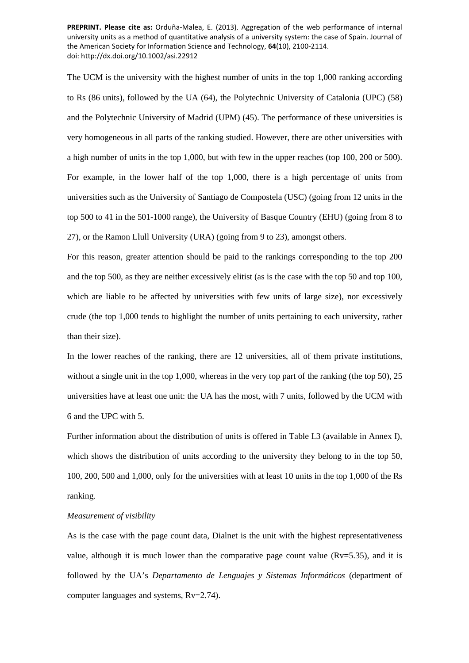The UCM is the university with the highest number of units in the top 1,000 ranking according to Rs (86 units), followed by the UA (64), the Polytechnic University of Catalonia (UPC) (58) and the Polytechnic University of Madrid (UPM) (45). The performance of these universities is very homogeneous in all parts of the ranking studied. However, there are other universities with a high number of units in the top 1,000, but with few in the upper reaches (top 100, 200 or 500). For example, in the lower half of the top 1,000, there is a high percentage of units from universities such as the University of Santiago de Compostela (USC) (going from 12 units in the top 500 to 41 in the 501-1000 range), the University of Basque Country (EHU) (going from 8 to 27), or the Ramon Llull University (URA) (going from 9 to 23), amongst others.

For this reason, greater attention should be paid to the rankings corresponding to the top 200 and the top 500, as they are neither excessively elitist (as is the case with the top 50 and top 100, which are liable to be affected by universities with few units of large size), nor excessively crude (the top 1,000 tends to highlight the number of units pertaining to each university, rather than their size).

In the lower reaches of the ranking, there are 12 universities, all of them private institutions, without a single unit in the top 1,000, whereas in the very top part of the ranking (the top 50), 25 universities have at least one unit: the UA has the most, with 7 units, followed by the UCM with 6 and the UPC with 5.

Further information about the distribution of units is offered in Table I.3 (available in Annex I), which shows the distribution of units according to the university they belong to in the top 50, 100, 200, 500 and 1,000, only for the universities with at least 10 units in the top 1,000 of the Rs ranking.

## *Measurement of visibility*

As is the case with the page count data, Dialnet is the unit with the highest representativeness value, although it is much lower than the comparative page count value  $(Rv=5.35)$ , and it is followed by the UA's *Departamento de Lenguajes y Sistemas Informáticos* (department of computer languages and systems, Rv=2.74).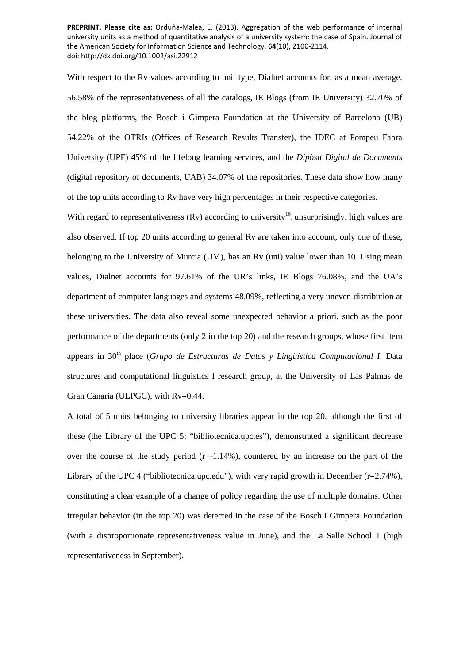With respect to the Rv values according to unit type, Dialnet accounts for, as a mean average, 56.58% of the representativeness of all the catalogs, IE Blogs (from IE University) 32.70% of the blog platforms, the Bosch i Gimpera Foundation at the University of Barcelona (UB) 54.22% of the OTRIs (Offices of Research Results Transfer), the IDEC at Pompeu Fabra University (UPF) 45% of the lifelong learning services, and the *Dipòsit Digital de Documents* (digital repository of documents, UAB) 34.07% of the repositories. These data show how many of the top units according to Rv have very high percentages in their respective categories.

With regard to representativeness (Rv) according to university<sup>16</sup>, unsurprisingly, high values are also observed. If top 20 units according to general Rv are taken into account, only one of these, belonging to the University of Murcia (UM), has an Rv (uni) value lower than 10. Using mean values, Dialnet accounts for 97.61% of the UR's links, IE Blogs 76.08%, and the UA's department of computer languages and systems 48.09%, reflecting a very uneven distribution at these universities. The data also reveal some unexpected behavior a priori, such as the poor performance of the departments (only 2 in the top 20) and the research groups, whose first item appears in 30<sup>th</sup> place (*Grupo de Estructuras de Datos y Lingüística Computacional I*, Data structures and computational linguistics I research group, at the University of Las Palmas de Gran Canaria (ULPGC), with Rv=0.44.

A total of 5 units belonging to university libraries appear in the top 20, although the first of these (the Library of the UPC 5; "bibliotecnica.upc.es"), demonstrated a significant decrease over the course of the study period  $(r=1.14\%)$ , countered by an increase on the part of the Library of the UPC 4 ("bibliotecnica.upc.edu"), with very rapid growth in December (r=2.74%), constituting a clear example of a change of policy regarding the use of multiple domains. Other irregular behavior (in the top 20) was detected in the case of the Bosch i Gimpera Foundation (with a disproportionate representativeness value in June), and the La Salle School 1 (high representativeness in September).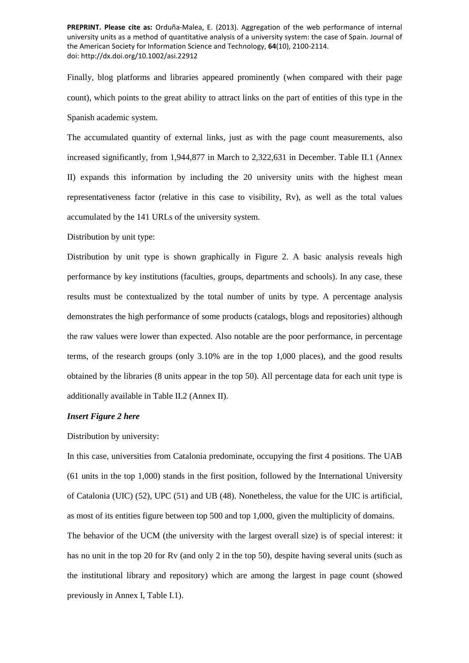Finally, blog platforms and libraries appeared prominently (when compared with their page count), which points to the great ability to attract links on the part of entities of this type in the Spanish academic system.

The accumulated quantity of external links, just as with the page count measurements, also increased significantly, from 1,944,877 in March to 2,322,631 in December. Table II.1 (Annex II) expands this information by including the 20 university units with the highest mean representativeness factor (relative in this case to visibility, Rv), as well as the total values accumulated by the 141 URLs of the university system.

# Distribution by unit type:

Distribution by unit type is shown graphically in Figure 2. A basic analysis reveals high performance by key institutions (faculties, groups, departments and schools). In any case, these results must be contextualized by the total number of units by type. A percentage analysis demonstrates the high performance of some products (catalogs, blogs and repositories) although the raw values were lower than expected. Also notable are the poor performance, in percentage terms, of the research groups (only 3.10% are in the top 1,000 places), and the good results obtained by the libraries (8 units appear in the top 50). All percentage data for each unit type is additionally available in Table II.2 (Annex II).

# *Insert Figure 2 here*

# Distribution by university:

In this case, universities from Catalonia predominate, occupying the first 4 positions. The UAB (61 units in the top 1,000) stands in the first position, followed by the International University of Catalonia (UIC) (52), UPC (51) and UB (48). Nonetheless, the value for the UIC is artificial, as most of its entities figure between top 500 and top 1,000, given the multiplicity of domains. The behavior of the UCM (the university with the largest overall size) is of special interest: it has no unit in the top 20 for Rv (and only 2 in the top 50), despite having several units (such as the institutional library and repository) which are among the largest in page count (showed previously in Annex I, Table I.1).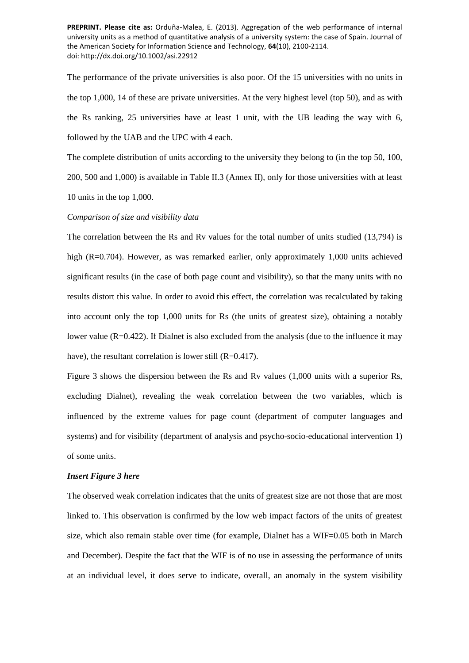The performance of the private universities is also poor. Of the 15 universities with no units in the top 1,000, 14 of these are private universities. At the very highest level (top 50), and as with the Rs ranking, 25 universities have at least 1 unit, with the UB leading the way with 6, followed by the UAB and the UPC with 4 each.

The complete distribution of units according to the university they belong to (in the top 50, 100, 200, 500 and 1,000) is available in Table II.3 (Annex II), only for those universities with at least 10 units in the top 1,000.

#### *Comparison of size and visibility data*

The correlation between the Rs and Rv values for the total number of units studied (13,794) is high (R=0.704). However, as was remarked earlier, only approximately 1,000 units achieved significant results (in the case of both page count and visibility), so that the many units with no results distort this value. In order to avoid this effect, the correlation was recalculated by taking into account only the top 1,000 units for Rs (the units of greatest size), obtaining a notably lower value (R=0.422). If Dialnet is also excluded from the analysis (due to the influence it may have), the resultant correlation is lower still (R=0.417).

Figure 3 shows the dispersion between the Rs and Rv values (1,000 units with a superior Rs, excluding Dialnet), revealing the weak correlation between the two variables, which is influenced by the extreme values for page count (department of computer languages and systems) and for visibility (department of analysis and psycho-socio-educational intervention 1) of some units.

## *Insert Figure 3 here*

The observed weak correlation indicates that the units of greatest size are not those that are most linked to. This observation is confirmed by the low web impact factors of the units of greatest size, which also remain stable over time (for example, Dialnet has a WIF=0.05 both in March and December). Despite the fact that the WIF is of no use in assessing the performance of units at an individual level, it does serve to indicate, overall, an anomaly in the system visibility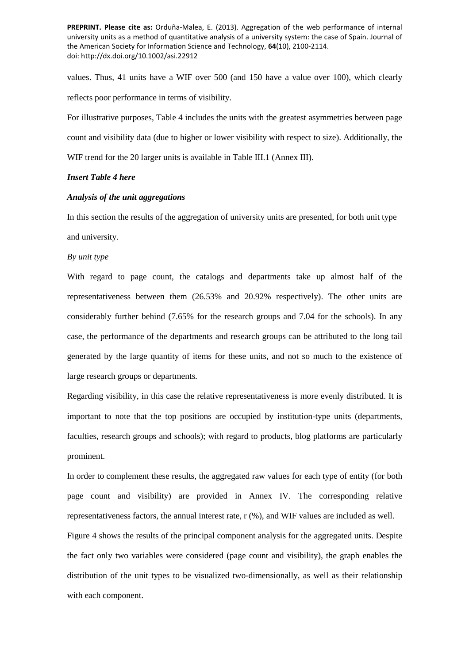values. Thus, 41 units have a WIF over 500 (and 150 have a value over 100), which clearly reflects poor performance in terms of visibility.

For illustrative purposes, Table 4 includes the units with the greatest asymmetries between page count and visibility data (due to higher or lower visibility with respect to size). Additionally, the WIF trend for the 20 larger units is available in Table III.1 (Annex III).

# *Insert Table 4 here*

# *Analysis of the unit aggregations*

In this section the results of the aggregation of university units are presented, for both unit type and university.

# *By unit type*

With regard to page count, the catalogs and departments take up almost half of the representativeness between them (26.53% and 20.92% respectively). The other units are considerably further behind (7.65% for the research groups and 7.04 for the schools). In any case, the performance of the departments and research groups can be attributed to the long tail generated by the large quantity of items for these units, and not so much to the existence of large research groups or departments.

Regarding visibility, in this case the relative representativeness is more evenly distributed. It is important to note that the top positions are occupied by institution-type units (departments, faculties, research groups and schools); with regard to products, blog platforms are particularly prominent.

In order to complement these results, the aggregated raw values for each type of entity (for both page count and visibility) are provided in Annex IV. The corresponding relative representativeness factors, the annual interest rate, r (%), and WIF values are included as well.

Figure 4 shows the results of the principal component analysis for the aggregated units. Despite the fact only two variables were considered (page count and visibility), the graph enables the distribution of the unit types to be visualized two-dimensionally, as well as their relationship with each component.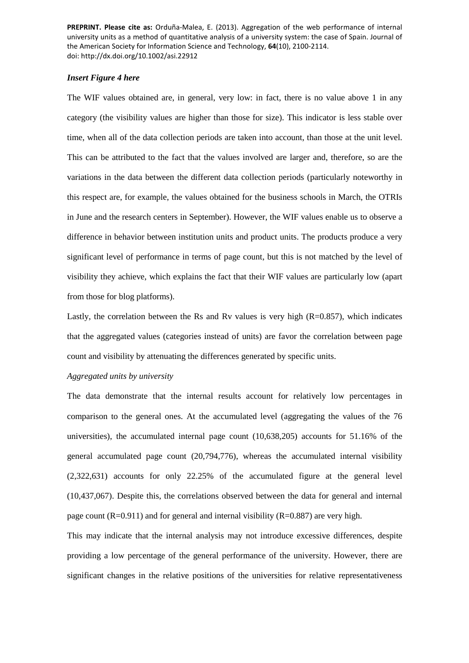## *Insert Figure 4 here*

The WIF values obtained are, in general, very low: in fact, there is no value above 1 in any category (the visibility values are higher than those for size). This indicator is less stable over time, when all of the data collection periods are taken into account, than those at the unit level. This can be attributed to the fact that the values involved are larger and, therefore, so are the variations in the data between the different data collection periods (particularly noteworthy in this respect are, for example, the values obtained for the business schools in March, the OTRIs in June and the research centers in September). However, the WIF values enable us to observe a difference in behavior between institution units and product units. The products produce a very significant level of performance in terms of page count, but this is not matched by the level of visibility they achieve, which explains the fact that their WIF values are particularly low (apart from those for blog platforms).

Lastly, the correlation between the Rs and Ry values is very high  $(R=0.857)$ , which indicates that the aggregated values (categories instead of units) are favor the correlation between page count and visibility by attenuating the differences generated by specific units.

# *Aggregated units by university*

The data demonstrate that the internal results account for relatively low percentages in comparison to the general ones. At the accumulated level (aggregating the values of the 76 universities), the accumulated internal page count (10,638,205) accounts for 51.16% of the general accumulated page count (20,794,776), whereas the accumulated internal visibility (2,322,631) accounts for only 22.25% of the accumulated figure at the general level (10,437,067). Despite this, the correlations observed between the data for general and internal page count  $(R=0.911)$  and for general and internal visibility  $(R=0.887)$  are very high.

This may indicate that the internal analysis may not introduce excessive differences, despite providing a low percentage of the general performance of the university. However, there are significant changes in the relative positions of the universities for relative representativeness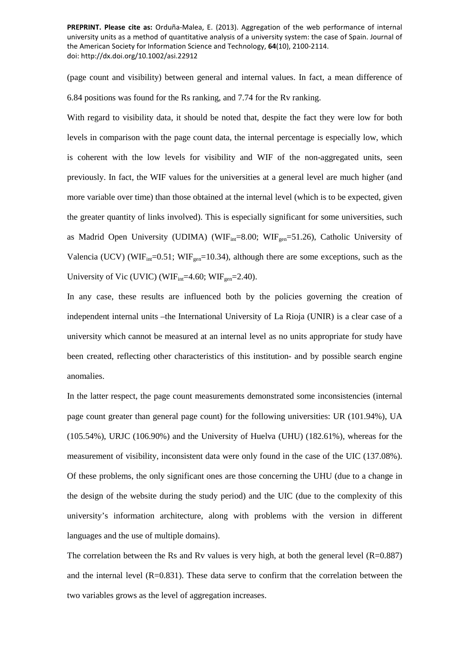(page count and visibility) between general and internal values. In fact, a mean difference of 6.84 positions was found for the Rs ranking, and 7.74 for the Rv ranking.

With regard to visibility data, it should be noted that, despite the fact they were low for both levels in comparison with the page count data, the internal percentage is especially low, which is coherent with the low levels for visibility and WIF of the non-aggregated units, seen previously. In fact, the WIF values for the universities at a general level are much higher (and more variable over time) than those obtained at the internal level (which is to be expected, given the greater quantity of links involved). This is especially significant for some universities, such as Madrid Open University (UDIMA) (WIF $_{int}=8.00$ ; WIF $_{gen}=51.26$ ), Catholic University of Valencia (UCV) (WIF $_{int}$ =0.51; WIF $_{gen}$ =10.34), although there are some exceptions, such as the University of Vic (UVIC) (WIF $_{int}$ =4.60; WIF $_{gen}$ =2.40).

In any case, these results are influenced both by the policies governing the creation of independent internal units –the International University of La Rioja (UNIR) is a clear case of a university which cannot be measured at an internal level as no units appropriate for study have been created, reflecting other characteristics of this institution- and by possible search engine anomalies.

In the latter respect, the page count measurements demonstrated some inconsistencies (internal page count greater than general page count) for the following universities: UR (101.94%), UA (105.54%), URJC (106.90%) and the University of Huelva (UHU) (182.61%), whereas for the measurement of visibility, inconsistent data were only found in the case of the UIC (137.08%). Of these problems, the only significant ones are those concerning the UHU (due to a change in the design of the website during the study period) and the UIC (due to the complexity of this university's information architecture, along with problems with the version in different languages and the use of multiple domains).

The correlation between the Rs and Rv values is very high, at both the general level  $(R=0.887)$ and the internal level  $(R=0.831)$ . These data serve to confirm that the correlation between the two variables grows as the level of aggregation increases.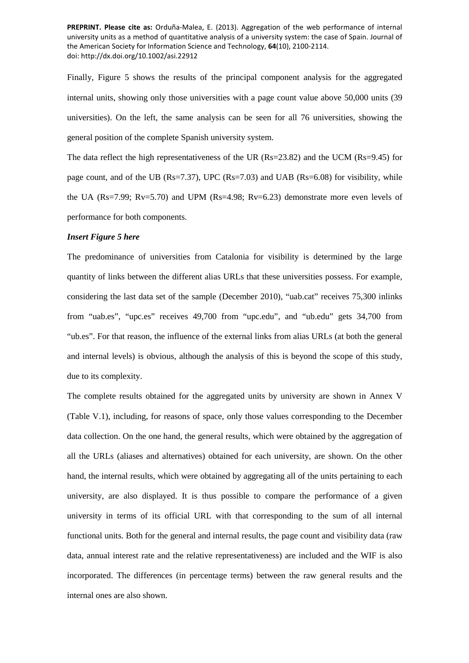Finally, Figure 5 shows the results of the principal component analysis for the aggregated internal units, showing only those universities with a page count value above 50,000 units (39 universities). On the left, the same analysis can be seen for all 76 universities, showing the general position of the complete Spanish university system.

The data reflect the high representativeness of the UR  $(Rs=23.82)$  and the UCM  $(Rs=9.45)$  for page count, and of the UB ( $Rs=7.37$ ), UPC ( $Rs=7.03$ ) and UAB ( $Rs=6.08$ ) for visibility, while the UA ( $Rs=7.99$ ;  $Rv=5.70$ ) and UPM ( $Rs=4.98$ ;  $Rv=6.23$ ) demonstrate more even levels of performance for both components.

# *Insert Figure 5 here*

The predominance of universities from Catalonia for visibility is determined by the large quantity of links between the different alias URLs that these universities possess. For example, considering the last data set of the sample (December 2010), "uab.cat" receives 75,300 inlinks from "uab.es", "upc.es" receives 49,700 from "upc.edu", and "ub.edu" gets 34,700 from "ub.es". For that reason, the influence of the external links from alias URLs (at both the general and internal levels) is obvious, although the analysis of this is beyond the scope of this study, due to its complexity.

The complete results obtained for the aggregated units by university are shown in Annex V (Table V.1), including, for reasons of space, only those values corresponding to the December data collection. On the one hand, the general results, which were obtained by the aggregation of all the URLs (aliases and alternatives) obtained for each university, are shown. On the other hand, the internal results, which were obtained by aggregating all of the units pertaining to each university, are also displayed. It is thus possible to compare the performance of a given university in terms of its official URL with that corresponding to the sum of all internal functional units. Both for the general and internal results, the page count and visibility data (raw data, annual interest rate and the relative representativeness) are included and the WIF is also incorporated. The differences (in percentage terms) between the raw general results and the internal ones are also shown.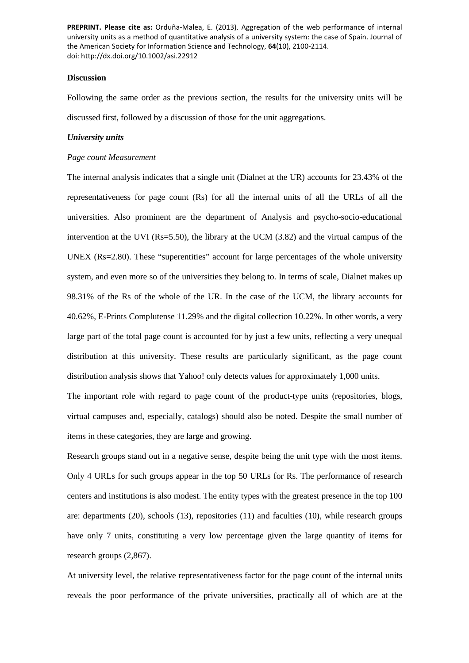#### **Discussion**

Following the same order as the previous section, the results for the university units will be discussed first, followed by a discussion of those for the unit aggregations.

# *University units*

#### *Page count Measurement*

The internal analysis indicates that a single unit (Dialnet at the UR) accounts for 23.43% of the representativeness for page count (Rs) for all the internal units of all the URLs of all the universities. Also prominent are the department of Analysis and psycho-socio-educational intervention at the UVI (Rs=5.50), the library at the UCM (3.82) and the virtual campus of the UNEX  $(Rs=2.80)$ . These "superentities" account for large percentages of the whole university system, and even more so of the universities they belong to. In terms of scale, Dialnet makes up 98.31% of the Rs of the whole of the UR. In the case of the UCM, the library accounts for 40.62%, E-Prints Complutense 11.29% and the digital collection 10.22%. In other words, a very large part of the total page count is accounted for by just a few units, reflecting a very unequal distribution at this university. These results are particularly significant, as the page count distribution analysis shows that Yahoo! only detects values for approximately 1,000 units.

The important role with regard to page count of the product-type units (repositories, blogs, virtual campuses and, especially, catalogs) should also be noted. Despite the small number of items in these categories, they are large and growing.

Research groups stand out in a negative sense, despite being the unit type with the most items. Only 4 URLs for such groups appear in the top 50 URLs for Rs. The performance of research centers and institutions is also modest. The entity types with the greatest presence in the top 100 are: departments (20), schools (13), repositories (11) and faculties (10), while research groups have only 7 units, constituting a very low percentage given the large quantity of items for research groups (2,867).

At university level, the relative representativeness factor for the page count of the internal units reveals the poor performance of the private universities, practically all of which are at the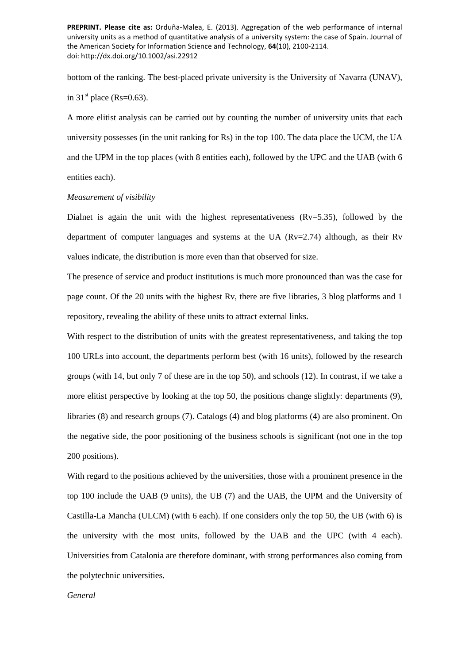bottom of the ranking. The best-placed private university is the University of Navarra (UNAV), in  $31<sup>st</sup>$  place (Rs=0.63).

A more elitist analysis can be carried out by counting the number of university units that each university possesses (in the unit ranking for Rs) in the top 100. The data place the UCM, the UA and the UPM in the top places (with 8 entities each), followed by the UPC and the UAB (with 6 entities each).

## *Measurement of visibility*

Dialnet is again the unit with the highest representativeness  $(Rv=5.35)$ , followed by the department of computer languages and systems at the UA  $(Rv=2.74)$  although, as their Rv values indicate, the distribution is more even than that observed for size.

The presence of service and product institutions is much more pronounced than was the case for page count. Of the 20 units with the highest Rv, there are five libraries, 3 blog platforms and 1 repository, revealing the ability of these units to attract external links.

With respect to the distribution of units with the greatest representativeness, and taking the top 100 URLs into account, the departments perform best (with 16 units), followed by the research groups (with 14, but only 7 of these are in the top 50), and schools (12). In contrast, if we take a more elitist perspective by looking at the top 50, the positions change slightly: departments (9), libraries (8) and research groups (7). Catalogs (4) and blog platforms (4) are also prominent. On the negative side, the poor positioning of the business schools is significant (not one in the top 200 positions).

With regard to the positions achieved by the universities, those with a prominent presence in the top 100 include the UAB (9 units), the UB (7) and the UAB, the UPM and the University of Castilla-La Mancha (ULCM) (with 6 each). If one considers only the top 50, the UB (with 6) is the university with the most units, followed by the UAB and the UPC (with 4 each). Universities from Catalonia are therefore dominant, with strong performances also coming from the polytechnic universities.

*General*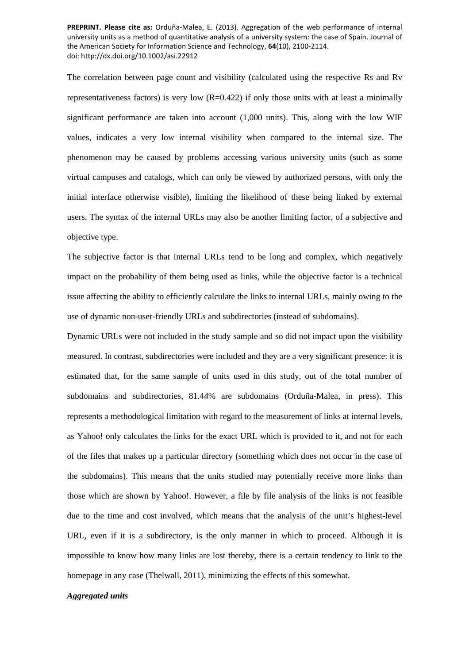The correlation between page count and visibility (calculated using the respective Rs and Rv representativeness factors) is very low  $(R=0.422)$  if only those units with at least a minimally significant performance are taken into account (1,000 units). This, along with the low WIF values, indicates a very low internal visibility when compared to the internal size. The phenomenon may be caused by problems accessing various university units (such as some virtual campuses and catalogs, which can only be viewed by authorized persons, with only the initial interface otherwise visible), limiting the likelihood of these being linked by external users. The syntax of the internal URLs may also be another limiting factor, of a subjective and objective type.

The subjective factor is that internal URLs tend to be long and complex, which negatively impact on the probability of them being used as links, while the objective factor is a technical issue affecting the ability to efficiently calculate the links to internal URLs, mainly owing to the use of dynamic non-user-friendly URLs and subdirectories (instead of subdomains).

Dynamic URLs were not included in the study sample and so did not impact upon the visibility measured. In contrast, subdirectories were included and they are a very significant presence: it is estimated that, for the same sample of units used in this study, out of the total number of subdomains and subdirectories, 81.44% are subdomains (Orduña-Malea, in press). This represents a methodological limitation with regard to the measurement of links at internal levels, as Yahoo! only calculates the links for the exact URL which is provided to it, and not for each of the files that makes up a particular directory (something which does not occur in the case of the subdomains). This means that the units studied may potentially receive more links than those which are shown by Yahoo!. However, a file by file analysis of the links is not feasible due to the time and cost involved, which means that the analysis of the unit's highest-level URL, even if it is a subdirectory, is the only manner in which to proceed. Although it is impossible to know how many links are lost thereby, there is a certain tendency to link to the homepage in any case (Thelwall, 2011), minimizing the effects of this somewhat.

## *Aggregated units*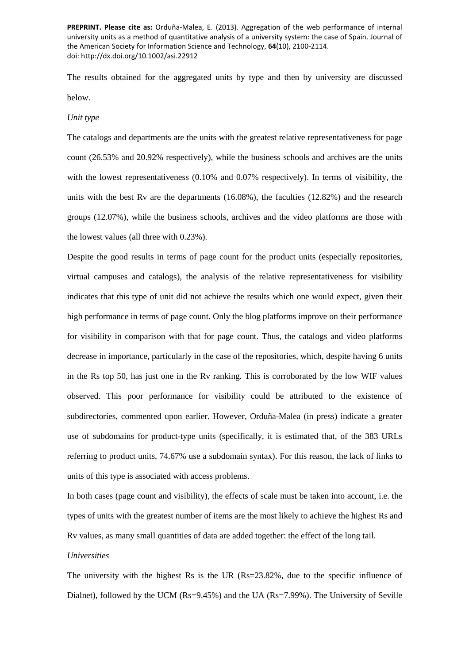The results obtained for the aggregated units by type and then by university are discussed below.

#### *Unit type*

The catalogs and departments are the units with the greatest relative representativeness for page count (26.53% and 20.92% respectively), while the business schools and archives are the units with the lowest representativeness (0.10% and 0.07% respectively). In terms of visibility, the units with the best Rv are the departments (16.08%), the faculties (12.82%) and the research groups (12.07%), while the business schools, archives and the video platforms are those with the lowest values (all three with 0.23%).

Despite the good results in terms of page count for the product units (especially repositories, virtual campuses and catalogs), the analysis of the relative representativeness for visibility indicates that this type of unit did not achieve the results which one would expect, given their high performance in terms of page count. Only the blog platforms improve on their performance for visibility in comparison with that for page count. Thus, the catalogs and video platforms decrease in importance, particularly in the case of the repositories, which, despite having 6 units in the Rs top 50, has just one in the Rv ranking. This is corroborated by the low WIF values observed. This poor performance for visibility could be attributed to the existence of subdirectories, commented upon earlier. However, Orduña-Malea (in press) indicate a greater use of subdomains for product-type units (specifically, it is estimated that, of the 383 URLs referring to product units, 74.67% use a subdomain syntax). For this reason, the lack of links to units of this type is associated with access problems.

In both cases (page count and visibility), the effects of scale must be taken into account, i.e. the types of units with the greatest number of items are the most likely to achieve the highest Rs and Rv values, as many small quantities of data are added together: the effect of the long tail.

# *Universities*

The university with the highest Rs is the UR (Rs=23.82%, due to the specific influence of Dialnet), followed by the UCM (Rs=9.45%) and the UA (Rs=7.99%). The University of Seville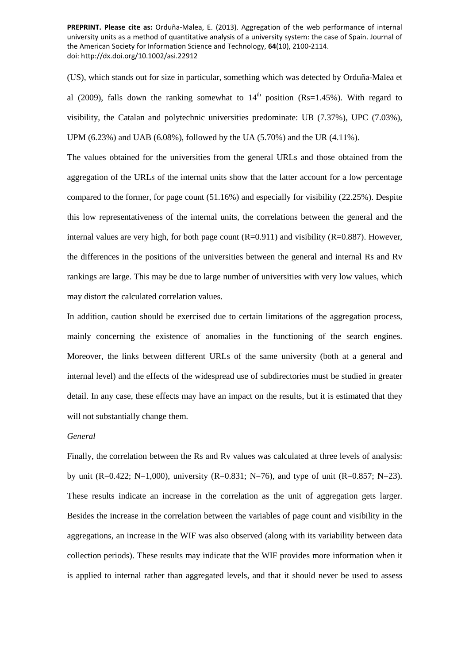(US), which stands out for size in particular, something which was detected by Orduña-Malea et al (2009), falls down the ranking somewhat to  $14<sup>th</sup>$  position (Rs=1.45%). With regard to visibility, the Catalan and polytechnic universities predominate: UB (7.37%), UPC (7.03%), UPM (6.23%) and UAB (6.08%), followed by the UA (5.70%) and the UR (4.11%).

The values obtained for the universities from the general URLs and those obtained from the aggregation of the URLs of the internal units show that the latter account for a low percentage compared to the former, for page count (51.16%) and especially for visibility (22.25%). Despite this low representativeness of the internal units, the correlations between the general and the internal values are very high, for both page count  $(R=0.911)$  and visibility  $(R=0.887)$ . However, the differences in the positions of the universities between the general and internal Rs and Rv rankings are large. This may be due to large number of universities with very low values, which may distort the calculated correlation values.

In addition, caution should be exercised due to certain limitations of the aggregation process, mainly concerning the existence of anomalies in the functioning of the search engines. Moreover, the links between different URLs of the same university (both at a general and internal level) and the effects of the widespread use of subdirectories must be studied in greater detail. In any case, these effects may have an impact on the results, but it is estimated that they will not substantially change them.

#### *General*

Finally, the correlation between the Rs and Rv values was calculated at three levels of analysis: by unit (R=0.422; N=1,000), university (R=0.831; N=76), and type of unit (R=0.857; N=23). These results indicate an increase in the correlation as the unit of aggregation gets larger. Besides the increase in the correlation between the variables of page count and visibility in the aggregations, an increase in the WIF was also observed (along with its variability between data collection periods). These results may indicate that the WIF provides more information when it is applied to internal rather than aggregated levels, and that it should never be used to assess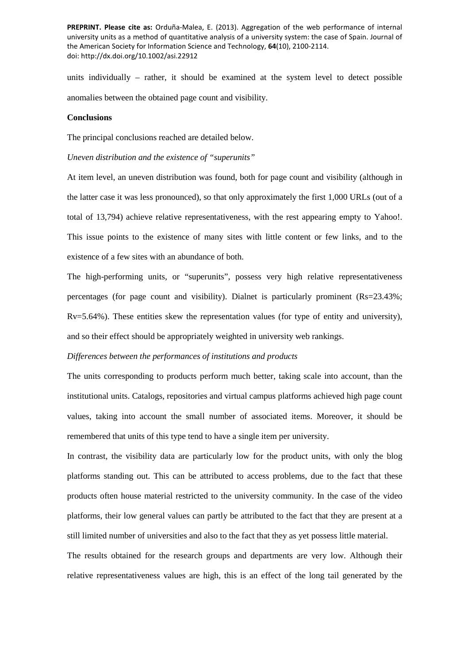units individually – rather, it should be examined at the system level to detect possible anomalies between the obtained page count and visibility.

## **Conclusions**

The principal conclusions reached are detailed below.

*Uneven distribution and the existence of "superunits"* 

At item level, an uneven distribution was found, both for page count and visibility (although in the latter case it was less pronounced), so that only approximately the first 1,000 URLs (out of a total of 13,794) achieve relative representativeness, with the rest appearing empty to Yahoo!. This issue points to the existence of many sites with little content or few links, and to the existence of a few sites with an abundance of both.

The high-performing units, or "superunits", possess very high relative representativeness percentages (for page count and visibility). Dialnet is particularly prominent (Rs=23.43%; Rv=5.64%). These entities skew the representation values (for type of entity and university), and so their effect should be appropriately weighted in university web rankings.

# *Differences between the performances of institutions and products*

The units corresponding to products perform much better, taking scale into account, than the institutional units. Catalogs, repositories and virtual campus platforms achieved high page count values, taking into account the small number of associated items. Moreover, it should be remembered that units of this type tend to have a single item per university.

In contrast, the visibility data are particularly low for the product units, with only the blog platforms standing out. This can be attributed to access problems, due to the fact that these products often house material restricted to the university community. In the case of the video platforms, their low general values can partly be attributed to the fact that they are present at a still limited number of universities and also to the fact that they as yet possess little material.

The results obtained for the research groups and departments are very low. Although their relative representativeness values are high, this is an effect of the long tail generated by the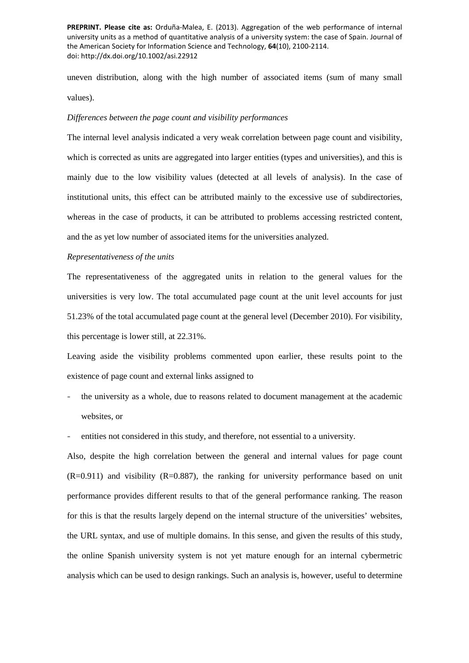uneven distribution, along with the high number of associated items (sum of many small values).

# *Differences between the page count and visibility performances*

The internal level analysis indicated a very weak correlation between page count and visibility, which is corrected as units are aggregated into larger entities (types and universities), and this is mainly due to the low visibility values (detected at all levels of analysis). In the case of institutional units, this effect can be attributed mainly to the excessive use of subdirectories, whereas in the case of products, it can be attributed to problems accessing restricted content, and the as yet low number of associated items for the universities analyzed.

# *Representativeness of the units*

The representativeness of the aggregated units in relation to the general values for the universities is very low. The total accumulated page count at the unit level accounts for just 51.23% of the total accumulated page count at the general level (December 2010). For visibility, this percentage is lower still, at 22.31%.

Leaving aside the visibility problems commented upon earlier, these results point to the existence of page count and external links assigned to

- the university as a whole, due to reasons related to document management at the academic websites, or
- entities not considered in this study, and therefore, not essential to a university.

Also, despite the high correlation between the general and internal values for page count (R=0.911) and visibility (R=0.887), the ranking for university performance based on unit performance provides different results to that of the general performance ranking. The reason for this is that the results largely depend on the internal structure of the universities' websites, the URL syntax, and use of multiple domains. In this sense, and given the results of this study, the online Spanish university system is not yet mature enough for an internal cybermetric analysis which can be used to design rankings. Such an analysis is, however, useful to determine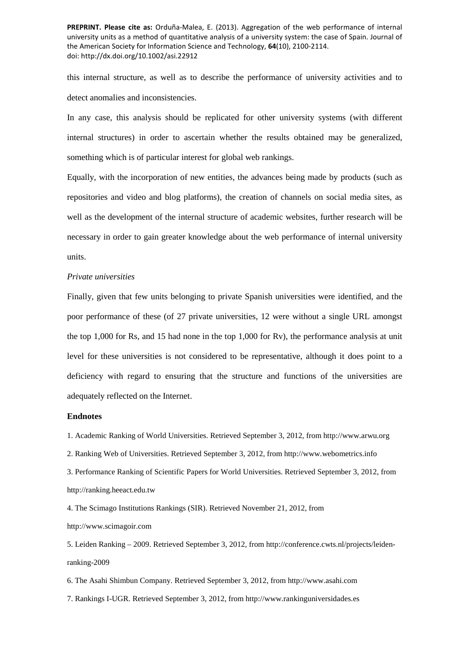this internal structure, as well as to describe the performance of university activities and to detect anomalies and inconsistencies.

In any case, this analysis should be replicated for other university systems (with different internal structures) in order to ascertain whether the results obtained may be generalized, something which is of particular interest for global web rankings.

Equally, with the incorporation of new entities, the advances being made by products (such as repositories and video and blog platforms), the creation of channels on social media sites, as well as the development of the internal structure of academic websites, further research will be necessary in order to gain greater knowledge about the web performance of internal university units.

#### *Private universities*

Finally, given that few units belonging to private Spanish universities were identified, and the poor performance of these (of 27 private universities, 12 were without a single URL amongst the top 1,000 for Rs, and 15 had none in the top 1,000 for Rv), the performance analysis at unit level for these universities is not considered to be representative, although it does point to a deficiency with regard to ensuring that the structure and functions of the universities are adequately reflected on the Internet.

# **Endnotes**

1. Academic Ranking of World Universities. Retrieved September 3, 2012, from http://www.arwu.org

2. Ranking Web of Universities. Retrieved September 3, 2012, from http://www.webometrics.info

3. Performance Ranking of Scientific Papers for World Universities. Retrieved September 3, 2012, from http://ranking.heeact.edu.tw

4. The Scimago Institutions Rankings (SIR). Retrieved November 21, 2012, from

http://www.scimagoir.com

5. Leiden Ranking – 2009. Retrieved September 3, 2012, from http://conference.cwts.nl/projects/leidenranking-2009

6. The Asahi Shimbun Company. Retrieved September 3, 2012, from http://www.asahi.com

7. Rankings I-UGR. Retrieved September 3, 2012, from http://www.rankinguniversidades.es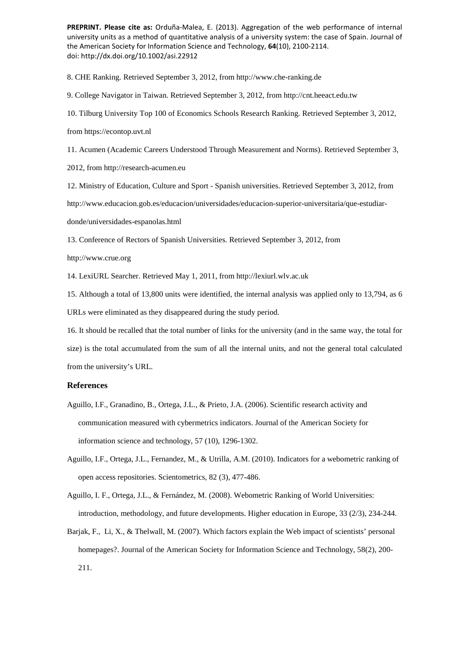8. CHE Ranking. Retrieved September 3, 2012, from http://www.che-ranking.de

9. College Navigator in Taiwan. Retrieved September 3, 2012, from http://cnt.heeact.edu.tw

10. Tilburg University Top 100 of Economics Schools Research Ranking. Retrieved September 3, 2012,

from https://econtop.uvt.nl

11. Acumen (Academic Careers Understood Through Measurement and Norms). Retrieved September 3,

2012, from http://research-acumen.eu

12. Ministry of Education, Culture and Sport - Spanish universities. Retrieved September 3, 2012, from

http://www.educacion.gob.es/educacion/universidades/educacion-superior-universitaria/que-estudiar-

donde/universidades-espanolas.html

13. Conference of Rectors of Spanish Universities. Retrieved September 3, 2012, from

http://www.crue.org

14. LexiURL Searcher. Retrieved May 1, 2011, from http://lexiurl.wlv.ac.uk

15. Although a total of 13,800 units were identified, the internal analysis was applied only to 13,794, as 6

URLs were eliminated as they disappeared during the study period.

16. It should be recalled that the total number of links for the university (and in the same way, the total for size) is the total accumulated from the sum of all the internal units, and not the general total calculated from the university's URL.

#### **References**

- Aguillo, I.F., Granadino, B., Ortega, J.L., & Prieto, J.A. (2006). Scientific research activity and communication measured with cybermetrics indicators. Journal of the American Society for information science and technology, 57 (10), 1296-1302.
- Aguillo, I.F., Ortega, J.L., Fernandez, M., & Utrilla, A.M. (2010). Indicators for a webometric ranking of open access repositories. Scientometrics, 82 (3), 477-486.
- Aguillo, I. F., Ortega, J.L., & Fernández, M. (2008). Webometric Ranking of World Universities: introduction, methodology, and future developments. Higher education in Europe, 33 (2/3), 234-244.
- Barjak, F., Li, X., & Thelwall, M. (2007). Which factors explain the Web impact of scientists' personal homepages?. Journal of the American Society for Information Science and Technology, 58(2), 200-211.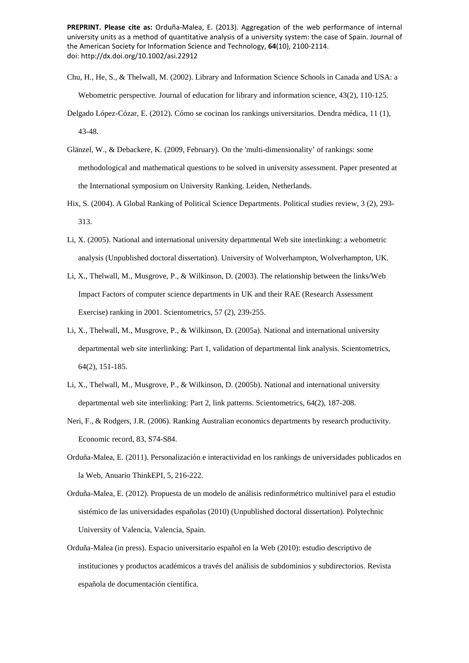- Chu, H., He, S., & Thelwall, M. (2002). Library and Information Science Schools in Canada and USA: a Webometric perspective. Journal of education for library and information science, 43(2), 110-125.
- Delgado López-Cózar, E. (2012). Cómo se cocinan los rankings universitarios. Dendra médica, 11 (1), 43-48.
- Glänzel, W., & Debackere, K. (2009, February). On the 'multi-dimensionality' of rankings: some methodological and mathematical questions to be solved in university assessment. Paper presented at the International symposium on University Ranking. Leiden, Netherlands.
- Hix, S. (2004). A Global Ranking of Political Science Departments. Political studies review, 3 (2), 293- 313.
- Li, X. (2005). National and international university departmental Web site interlinking: a webometric analysis (Unpublished doctoral dissertation). University of Wolverhampton, Wolverhampton, UK.
- Li, X., Thelwall, M., Musgrove, P., & Wilkinson, D. (2003). The relationship between the links/Web Impact Factors of computer science departments in UK and their RAE (Research Assessment Exercise) ranking in 2001. Scientometrics, 57 (2), 239-255.
- Li, X., Thelwall, M., Musgrove, P., & Wilkinson, D. (2005a). National and international university departmental web site interlinking: Part 1, validation of departmental link analysis. Scientometrics, 64(2), 151-185.
- Li, X., Thelwall, M., Musgrove, P., & Wilkinson, D. (2005b). National and international university departmental web site interlinking: Part 2, link patterns. Scientometrics, 64(2), 187-208.
- Neri, F., & Rodgers, J.R. (2006). Ranking Australian economics departments by research productivity. Economic record, 83, S74-S84.
- Orduña-Malea, E. (2011). Personalización e interactividad en los rankings de universidades publicados en la Web, Anuario ThinkEPI, 5, 216-222.
- Orduña-Malea, E. (2012). Propuesta de un modelo de análisis redinformétrico multinivel para el estudio sistémico de las universidades españolas (2010) (Unpublished doctoral dissertation). Polytechnic University of Valencia, Valencia, Spain.
- Orduña-Malea (in press). Espacio universitario español en la Web (2010): estudio descriptivo de instituciones y productos académicos a través del análisis de subdominios y subdirectorios. Revista española de documentación científica.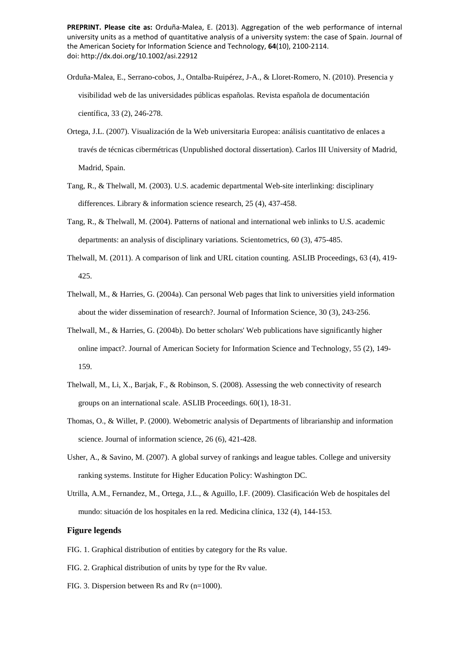- Orduña-Malea, E., Serrano-cobos, J., Ontalba-Ruipérez, J-A., & Lloret-Romero, N. (2010). Presencia y visibilidad web de las universidades públicas españolas. Revista española de documentación científica, 33 (2), 246-278.
- Ortega, J.L. (2007). Visualización de la Web universitaria Europea: análisis cuantitativo de enlaces a través de técnicas cibermétricas (Unpublished doctoral dissertation). Carlos III University of Madrid, Madrid, Spain.
- Tang, R., & Thelwall, M. (2003). U.S. academic departmental Web-site interlinking: disciplinary differences. Library & information science research, 25 (4), 437-458.
- Tang, R., & Thelwall, M. (2004). Patterns of national and international web inlinks to U.S. academic departments: an analysis of disciplinary variations. Scientometrics, 60 (3), 475-485.
- Thelwall, M. (2011). A comparison of link and URL citation counting. ASLIB Proceedings, 63 (4), 419- 425.
- Thelwall, M., & Harries, G. (2004a). Can personal Web pages that link to universities yield information about the wider dissemination of research?. Journal of Information Science, 30 (3), 243-256.
- Thelwall, M., & Harries, G. (2004b). Do better scholars' Web publications have significantly higher online impact?. Journal of American Society for Information Science and Technology, 55 (2), 149- 159.
- Thelwall, M., Li, X., Barjak, F., & Robinson, S. (2008). Assessing the web connectivity of research groups on an international scale. ASLIB Proceedings. 60(1), 18-31.
- Thomas, O., & Willet, P. (2000). Webometric analysis of Departments of librarianship and information science. Journal of information science, 26 (6), 421-428.
- Usher, A., & Savino, M. (2007). A global survey of rankings and league tables. College and university ranking systems. Institute for Higher Education Policy: Washington DC.
- Utrilla, A.M., Fernandez, M., Ortega, J.L., & Aguillo, I.F. (2009). Clasificación Web de hospitales del mundo: situación de los hospitales en la red. Medicina clínica, 132 (4), 144-153.

# **Figure legends**

- FIG. 1. Graphical distribution of entities by category for the Rs value.
- FIG. 2. Graphical distribution of units by type for the Rv value.
- FIG. 3. Dispersion between Rs and Rv (n=1000).